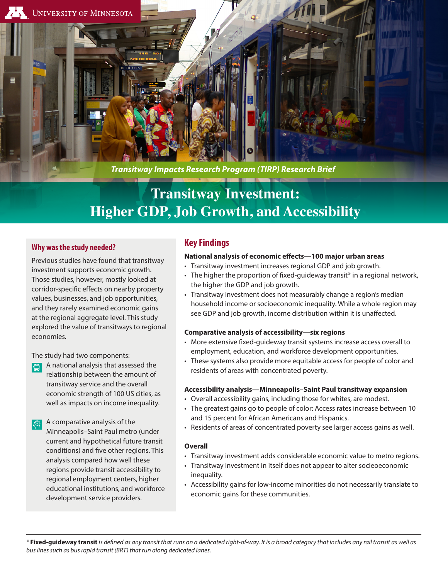

*Transitway Impacts Research Program (TIRP) Research Brief*

# **Transitway Investment: Higher GDP, Job Growth, and Accessibility**

## **Why was the study needed?**

Previous studies have found that transitway investment supports economic growth. Those studies, however, mostly looked at corridor-specific effects on nearby property values, businesses, and job opportunities, and they rarely examined economic gains at the regional aggregate level. This study explored the value of transitways to regional economies.

The study had two components:

- A national analysis that assessed the lol relationship between the amount of transitway service and the overall economic strength of 100 US cities, as well as impacts on income inequality.
- A comparative analysis of the  $|\textcircled{f2}|$ Minneapolis–Saint Paul metro (under current and hypothetical future transit conditions) and five other regions. This analysis compared how well these regions provide transit accessibility to regional employment centers, higher educational institutions, and workforce development service providers.

## **Key Findings**

### **National analysis of economic effects—100 major urban areas**

- Transitway investment increases regional GDP and job growth.
- The higher the proportion of fixed-guideway transit\* in a regional network, the higher the GDP and job growth.
- Transitway investment does not measurably change a region's median household income or socioeconomic inequality. While a whole region may see GDP and job growth, income distribution within it is unaffected.

#### **Comparative analysis of accessibility—six regions**

- More extensive fixed-guideway transit systems increase access overall to employment, education, and workforce development opportunities.
- These systems also provide more equitable access for people of color and residents of areas with concentrated poverty.

#### **Accessibility analysis—Minneapolis–Saint Paul transitway expansion**

- Overall accessibility gains, including those for whites, are modest.
- The greatest gains go to people of color: Access rates increase between 10 and 15 percent for African Americans and Hispanics.
- Residents of areas of concentrated poverty see larger access gains as well.

## **Overall**

- Transitway investment adds considerable economic value to metro regions.
- Transitway investment in itself does not appear to alter socieoeconomic inequality.
- Accessibility gains for low-income minorities do not necessarily translate to economic gains for these communities.

*\** **Fixed-guideway transit** *is defined as any transit that runs on a dedicated right-of-way. It is a broad category that includes any rail transit as well as bus lines such as bus rapid transit (BRT) that run along dedicated lanes.*